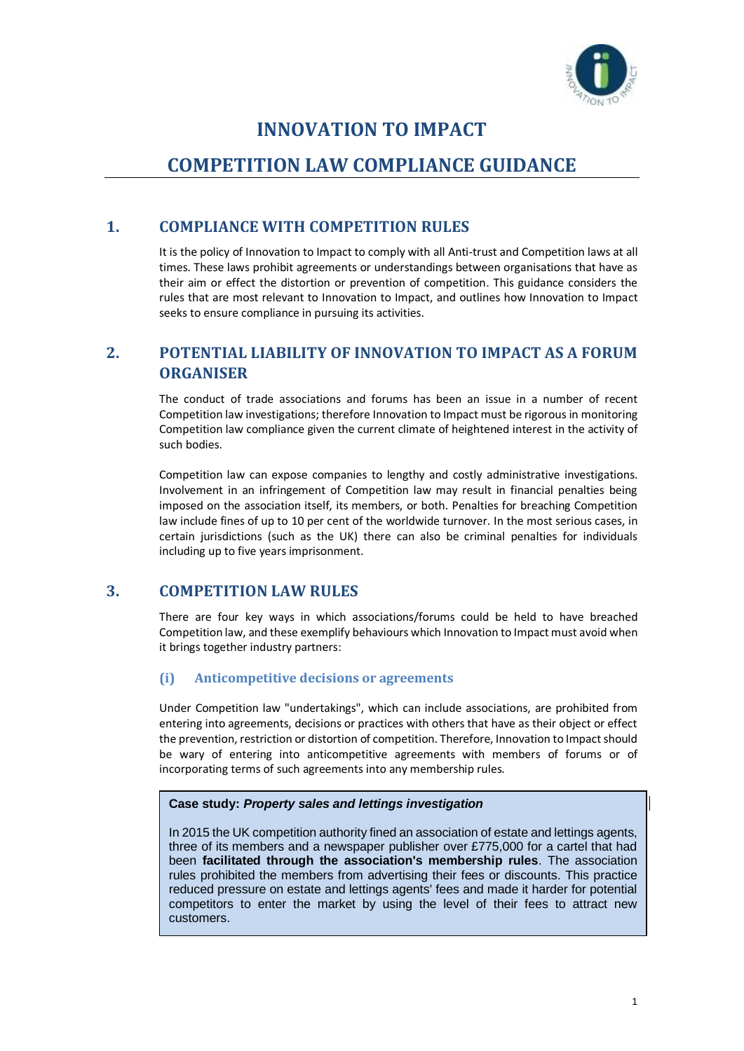

# **INNOVATION TO IMPACT**

# **COMPETITION LAW COMPLIANCE GUIDANCE**

# **1. COMPLIANCE WITH COMPETITION RULES**

It is the policy of Innovation to Impact to comply with all Anti-trust and Competition laws at all times. These laws prohibit agreements or understandings between organisations that have as their aim or effect the distortion or prevention of competition. This guidance considers the rules that are most relevant to Innovation to Impact, and outlines how Innovation to Impact seeks to ensure compliance in pursuing its activities.

# **2. POTENTIAL LIABILITY OF INNOVATION TO IMPACT AS A FORUM ORGANISER**

The conduct of trade associations and forums has been an issue in a number of recent Competition law investigations; therefore Innovation to Impact must be rigorous in monitoring Competition law compliance given the current climate of heightened interest in the activity of such bodies.

Competition law can expose companies to lengthy and costly administrative investigations. Involvement in an infringement of Competition law may result in financial penalties being imposed on the association itself, its members, or both. Penalties for breaching Competition law include fines of up to 10 per cent of the worldwide turnover. In the most serious cases, in certain jurisdictions (such as the UK) there can also be criminal penalties for individuals including up to five years imprisonment.

# **3. COMPETITION LAW RULES**

There are four key ways in which associations/forums could be held to have breached Competition law, and these exemplify behaviours which Innovation to Impact must avoid when it brings together industry partners:

## **(i) Anticompetitive decisions or agreements**

Under Competition law "undertakings", which can include associations, are prohibited from entering into agreements, decisions or practices with others that have as their object or effect the prevention, restriction or distortion of competition. Therefore, Innovation to Impact should be wary of entering into anticompetitive agreements with members of forums or of incorporating terms of such agreements into any membership rules.

## **Case study:** *Property sales and lettings investigation*

In 2015 the UK competition authority fined an association of estate and lettings agents, three of its members and a newspaper publisher over £775,000 for a cartel that had been **facilitated through the association's membership rules**. The association rules prohibited the members from advertising their fees or discounts. This practice reduced pressure on estate and lettings agents' fees and made it harder for potential competitors to enter the market by using the level of their fees to attract new customers.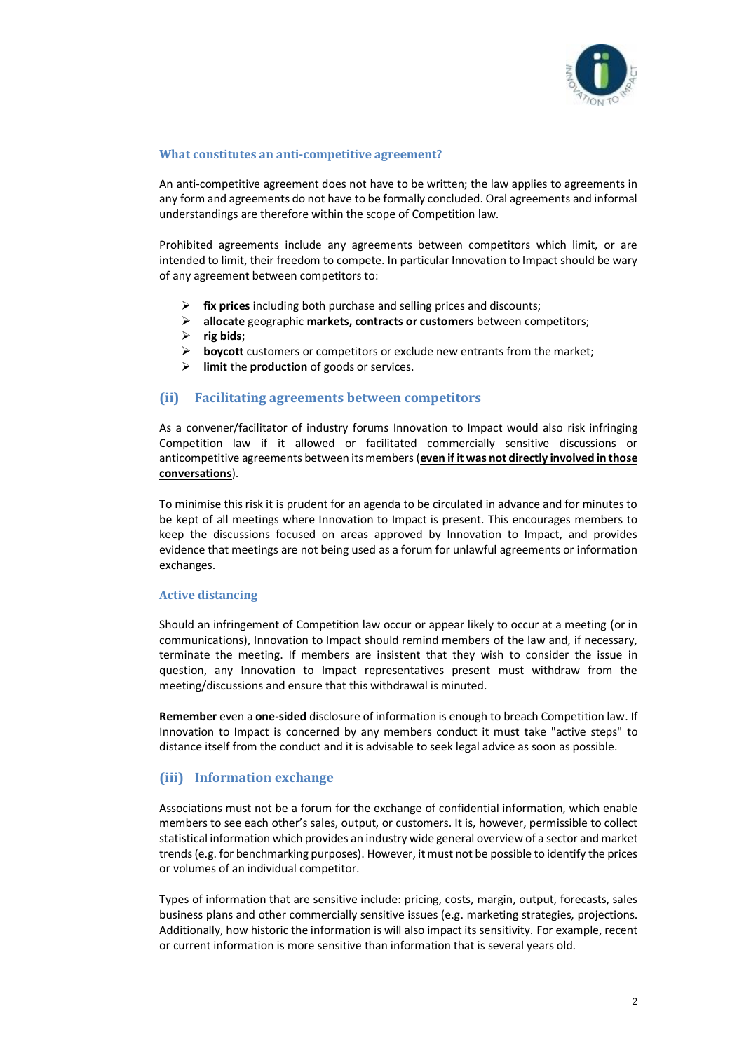

#### **What constitutes an anti-competitive agreement?**

An anti-competitive agreement does not have to be written; the law applies to agreements in any form and agreements do not have to be formally concluded. Oral agreements and informal understandings are therefore within the scope of Competition law.

Prohibited agreements include any agreements between competitors which limit, or are intended to limit, their freedom to compete. In particular Innovation to Impact should be wary of any agreement between competitors to:

- ➢ **fix prices** including both purchase and selling prices and discounts;
- ➢ **allocate** geographic **markets, contracts or customers** between competitors;
- ➢ **rig bids**;
- ➢ **boycott** customers or competitors or exclude new entrants from the market;
- ➢ **limit** the **production** of goods or services.

#### **(ii) Facilitating agreements between competitors**

As a convener/facilitator of industry forums Innovation to Impact would also risk infringing Competition law if it allowed or facilitated commercially sensitive discussions or anticompetitive agreements between its members (**even if it was not directly involved in those conversations**).

To minimise this risk it is prudent for an agenda to be circulated in advance and for minutes to be kept of all meetings where Innovation to Impact is present. This encourages members to keep the discussions focused on areas approved by Innovation to Impact, and provides evidence that meetings are not being used as a forum for unlawful agreements or information exchanges.

#### **Active distancing**

Should an infringement of Competition law occur or appear likely to occur at a meeting (or in communications), Innovation to Impact should remind members of the law and, if necessary, terminate the meeting. If members are insistent that they wish to consider the issue in question, any Innovation to Impact representatives present must withdraw from the meeting/discussions and ensure that this withdrawal is minuted.

**Remember** even a **one-sided** disclosure of information is enough to breach Competition law. If Innovation to Impact is concerned by any members conduct it must take "active steps" to distance itself from the conduct and it is advisable to seek legal advice as soon as possible.

### **(iii) Information exchange**

Associations must not be a forum for the exchange of confidential information, which enable members to see each other's sales, output, or customers. It is, however, permissible to collect statistical information which provides an industry wide general overview of a sector and market trends(e.g. for benchmarking purposes). However, it must not be possible to identify the prices or volumes of an individual competitor.

Types of information that are sensitive include: pricing, costs, margin, output, forecasts, sales business plans and other commercially sensitive issues (e.g. marketing strategies, projections. Additionally, how historic the information is will also impact its sensitivity. For example, recent or current information is more sensitive than information that is several years old.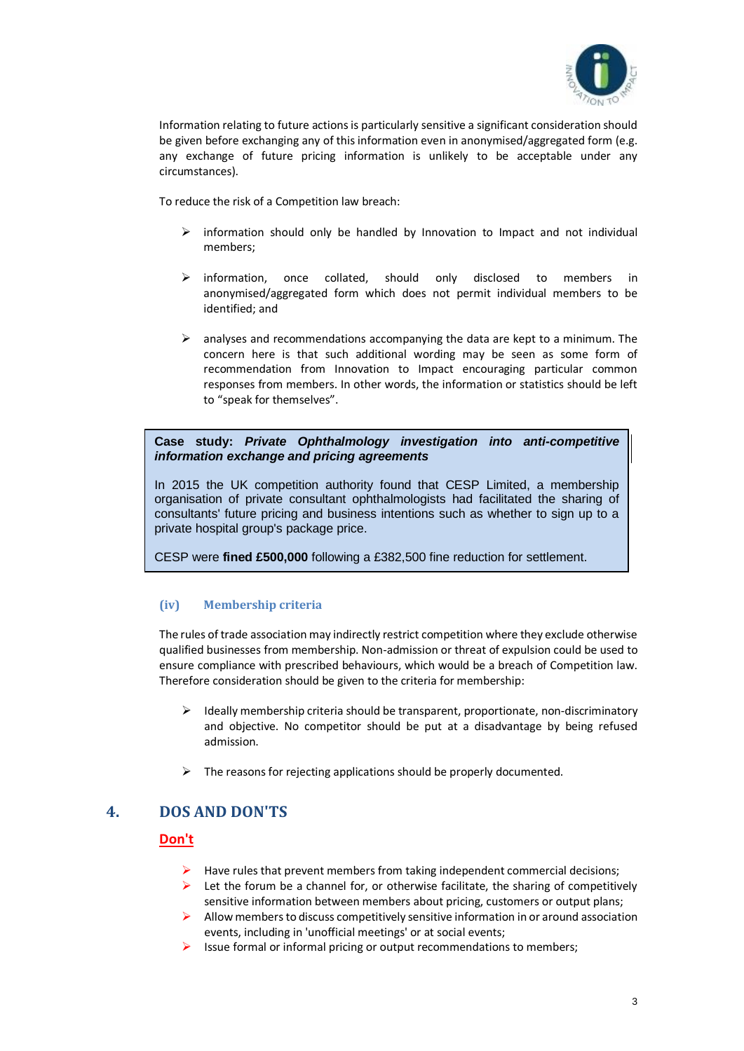

Information relating to future actions is particularly sensitive a significant consideration should be given before exchanging any of this information even in anonymised/aggregated form (e.g. any exchange of future pricing information is unlikely to be acceptable under any circumstances).

To reduce the risk of a Competition law breach:

- $\triangleright$  information should only be handled by Innovation to Impact and not individual members;
- ➢ information, once collated, should only disclosed to members in anonymised/aggregated form which does not permit individual members to be identified; and
- $\triangleright$  analyses and recommendations accompanying the data are kept to a minimum. The concern here is that such additional wording may be seen as some form of recommendation from Innovation to Impact encouraging particular common responses from members. In other words, the information or statistics should be left to "speak for themselves".

**Case study:** *Private Ophthalmology investigation into anti-competitive information exchange and pricing agreements*

In 2015 the UK competition authority found that CESP Limited, a membership organisation of private consultant ophthalmologists had facilitated the sharing of consultants' future pricing and business intentions such as whether to sign up to a private hospital group's package price.

CESP were **fined £500,000** following a £382,500 fine reduction for settlement.

### **(iv) Membership criteria**

The rules of trade association may indirectly restrict competition where they exclude otherwise qualified businesses from membership. Non-admission or threat of expulsion could be used to ensure compliance with prescribed behaviours, which would be a breach of Competition law. Therefore consideration should be given to the criteria for membership:

- ➢ Ideally membership criteria should be transparent, proportionate, non-discriminatory and objective. No competitor should be put at a disadvantage by being refused admission.
- $\triangleright$  The reasons for rejecting applications should be properly documented.

# **4. DOS AND DON'TS**

### **Don't**

- $\blacktriangleright$  Have rules that prevent members from taking independent commercial decisions;
- $\triangleright$  Let the forum be a channel for, or otherwise facilitate, the sharing of competitively sensitive information between members about pricing, customers or output plans;
- $\triangleright$  Allow members to discuss competitively sensitive information in or around association events, including in 'unofficial meetings' or at social events;
- ➢ Issue formal or informal pricing or output recommendations to members;